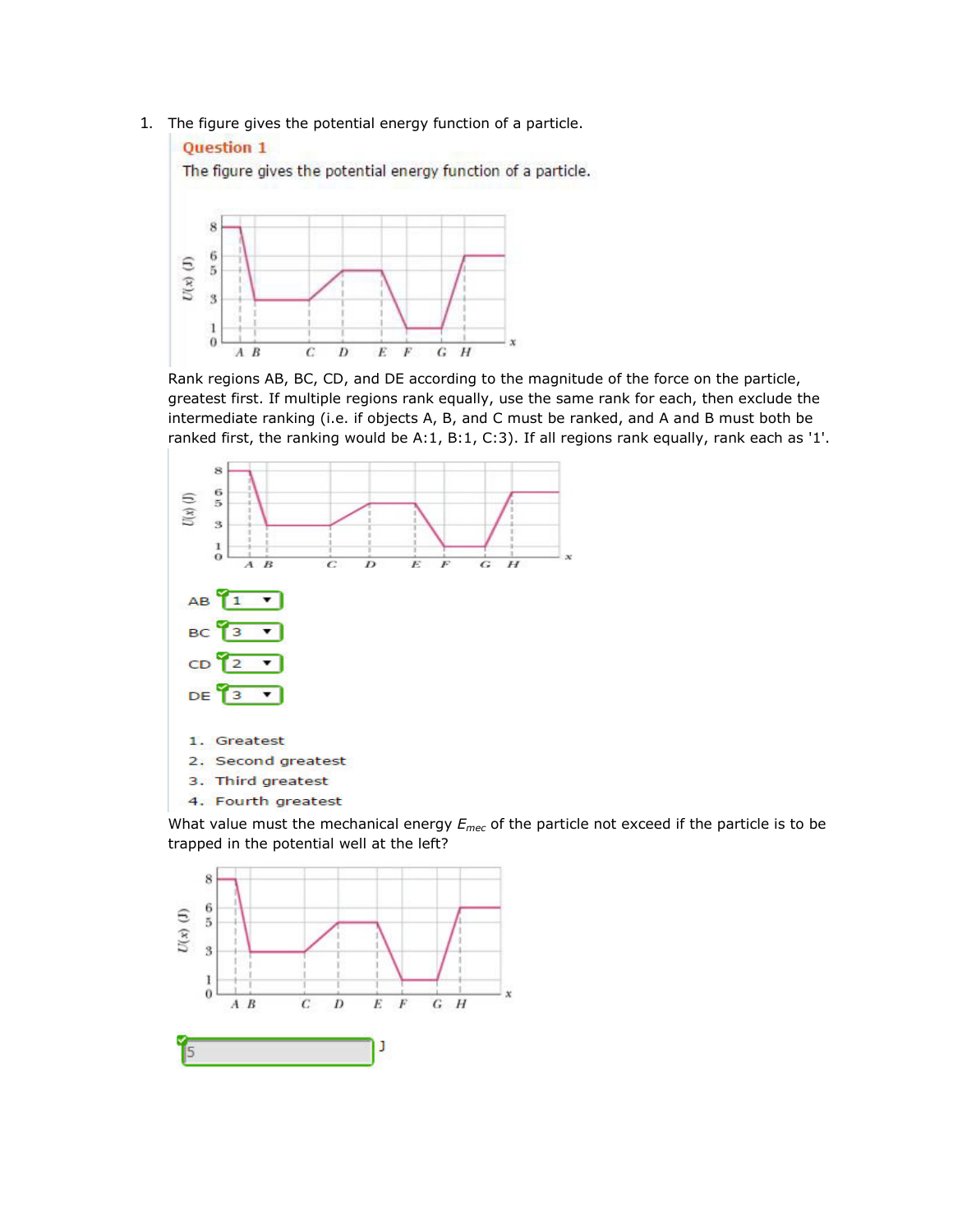1. The figure gives the potential energy function of a particle.



Rank regions AB, BC, CD, and DE according to the magnitude of the force on the particle, greatest first. If multiple regions rank equally, use the same rank for each, then exclude the intermediate ranking (i.e. if objects A, B, and C must be ranked, and A and B must both be ranked first, the ranking would be A:1, B:1, C:3). If all regions rank equally, rank each as '1'.



What value must the mechanical energy *Emec* of the particle not exceed if the particle is to be trapped in the potential well at the left?

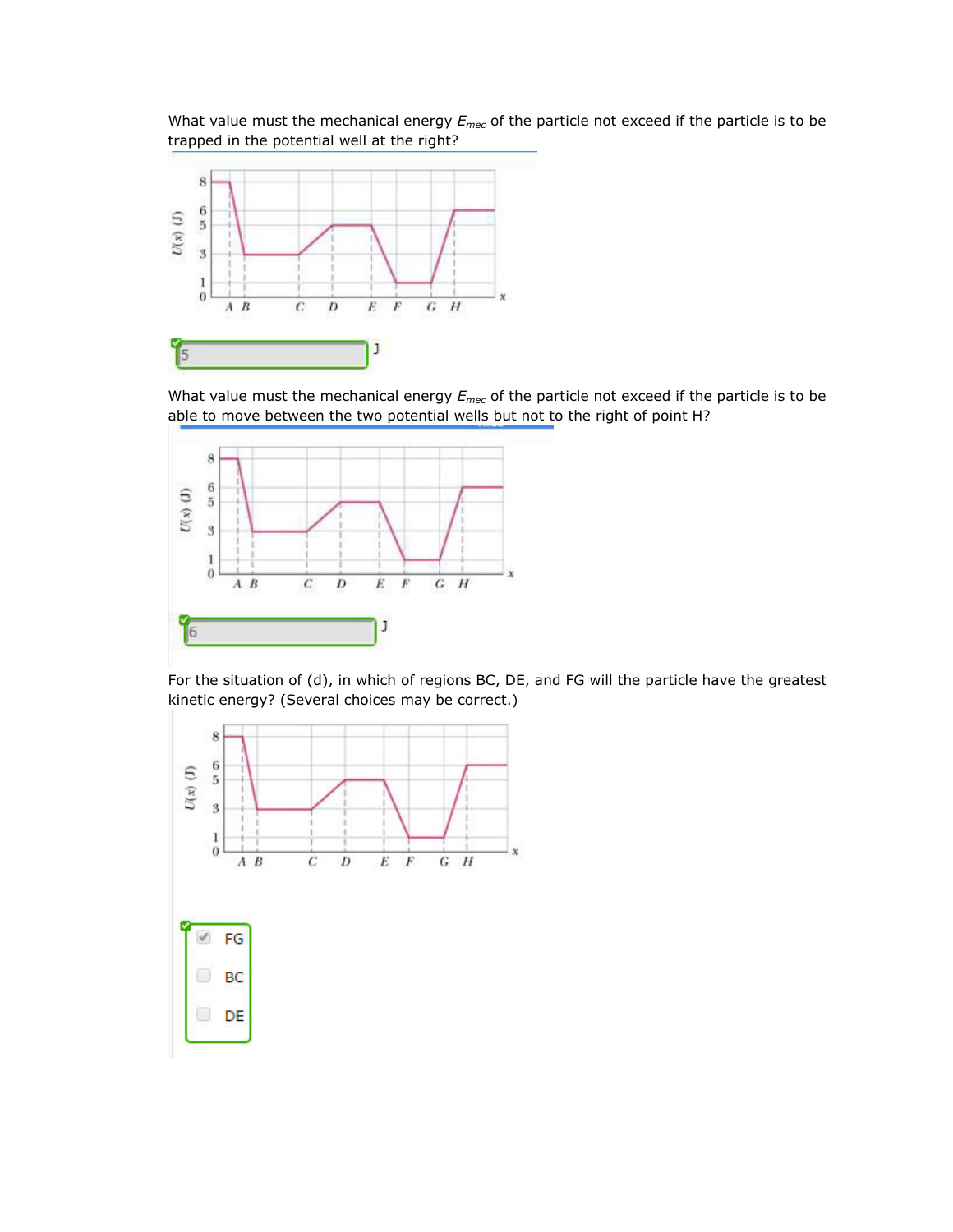What value must the mechanical energy *Emec* of the particle not exceed if the particle is to be trapped in the potential well at the right?



What value must the mechanical energy *Emec* of the particle not exceed if the particle is to be able to move between the two potential wells but not to the right of point H?



For the situation of (d), in which of regions BC, DE, and FG will the particle have the greatest kinetic energy? (Several choices may be correct.)

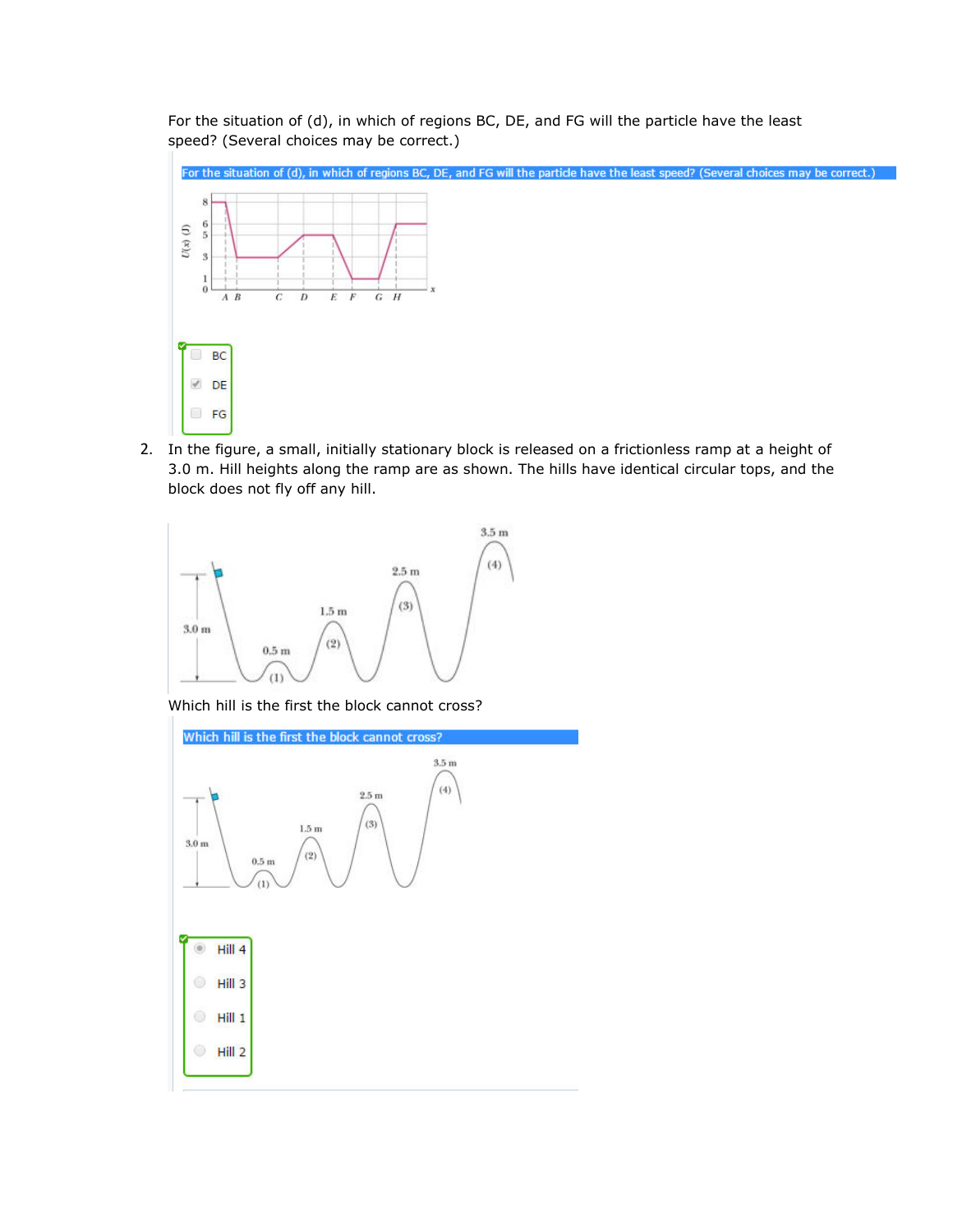For the situation of (d), in which of regions BC, DE, and FG will the particle have the least speed? (Several choices may be correct.)



2. In the figure, a small, initially stationary block is released on a frictionless ramp at a height of 3.0 m. Hill heights along the ramp are as shown. The hills have identical circular tops, and the block does not fly off any hill.



Which hill is the first the block cannot cross?

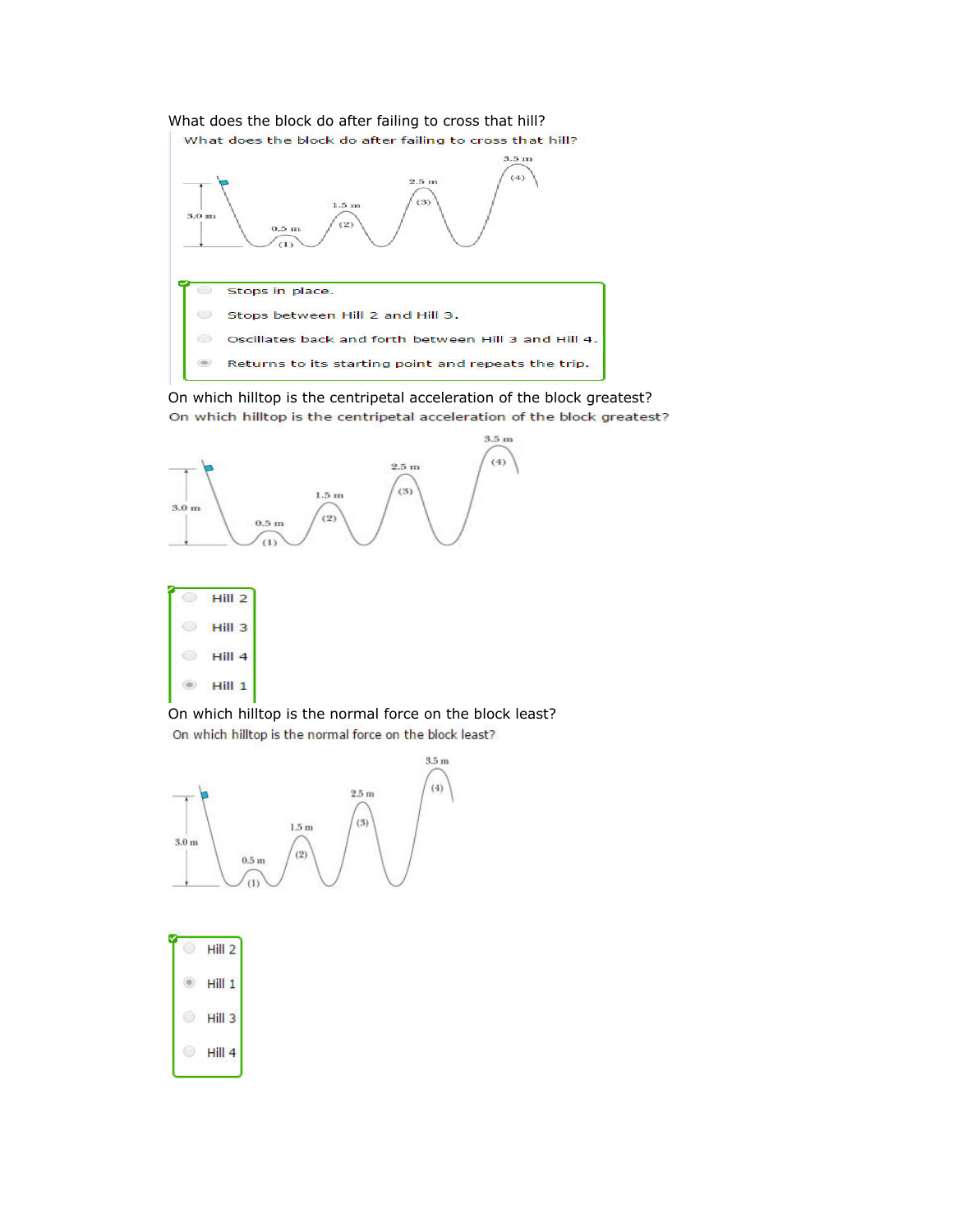

On which hilltop is the centripetal acceleration of the block greatest? On which hilltop is the centripetal acceleration of the block greatest?





On which hilltop is the normal force on the block least? On which hilltop is the normal force on the block least?



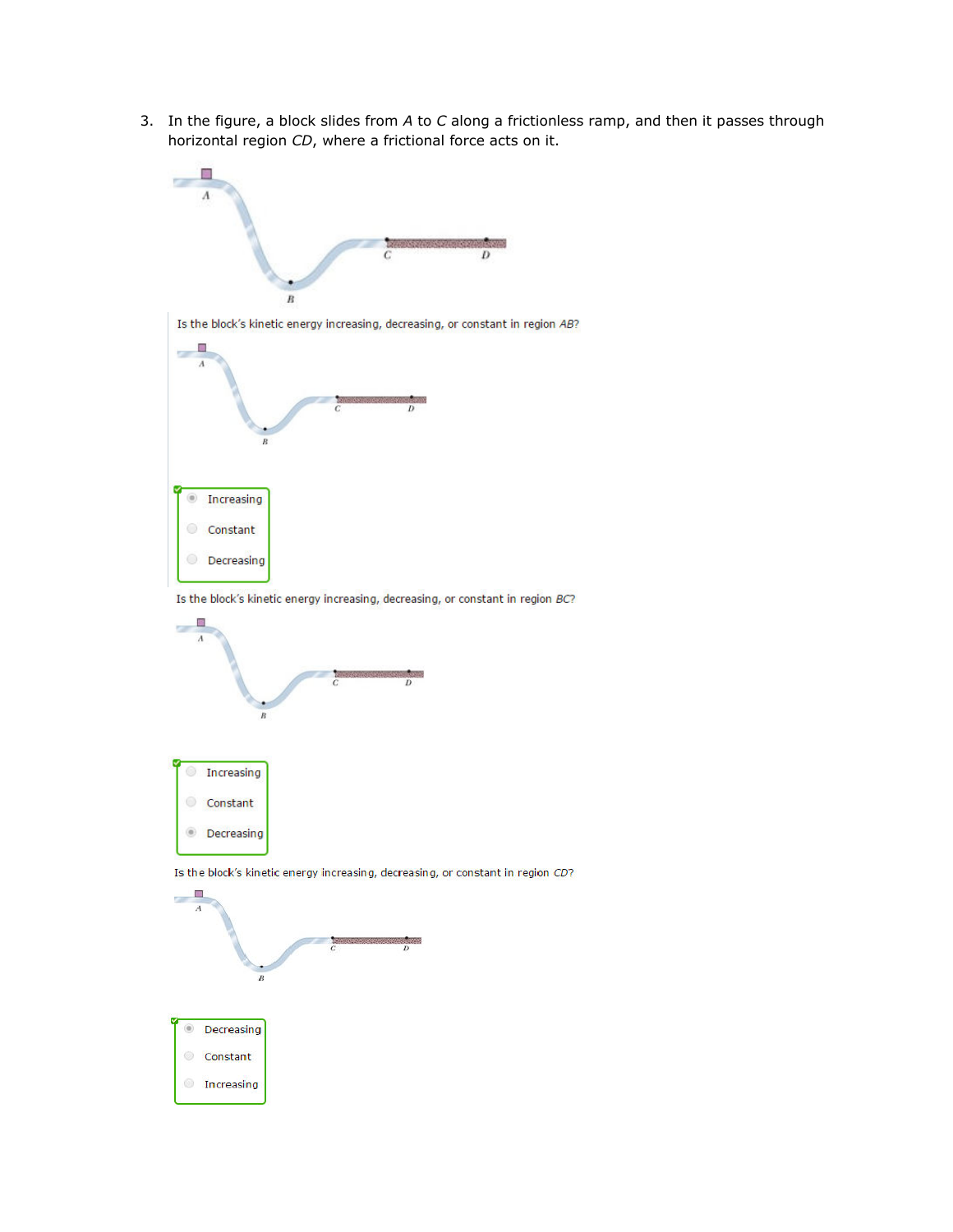3. In the figure, a block slides from *A* to *C* along a frictionless ramp, and then it passes through horizontal region *CD*, where a frictional force acts on it.



Is the block's kinetic energy increasing, decreasing, or constant in region BC?



Is the block's kinetic energy increasing, decreasing, or constant in region CD?